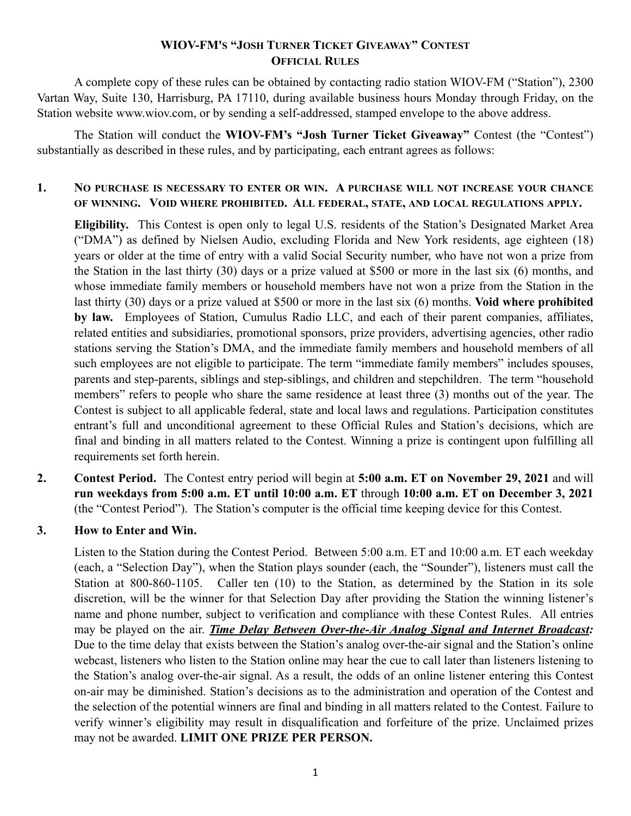## **WIOV-FM'S "JOSH TURNER TICKET GIVEAWAY" CONTEST OFFICIAL RULES**

A complete copy of these rules can be obtained by contacting radio station WIOV-FM ("Station"), 2300 Vartan Way, Suite 130, Harrisburg, PA 17110, during available business hours Monday through Friday, on the Station website www.wiov.com, or by sending a self-addressed, stamped envelope to the above address.

The Station will conduct the **WIOV-FM's "Josh Turner Ticket Giveaway"** Contest (the "Contest") substantially as described in these rules, and by participating, each entrant agrees as follows:

## **1. NO PURCHASE IS NECESSARY TO ENTER OR WIN. A PURCHASE WILL NOT INCREASE YOUR CHANCE OF WINNING. VOID WHERE PROHIBITED. ALL FEDERAL, STATE, AND LOCAL REGULATIONS APPLY.**

**Eligibility.** This Contest is open only to legal U.S. residents of the Station's Designated Market Area ("DMA") as defined by Nielsen Audio, excluding Florida and New York residents, age eighteen (18) years or older at the time of entry with a valid Social Security number, who have not won a prize from the Station in the last thirty (30) days or a prize valued at \$500 or more in the last six (6) months, and whose immediate family members or household members have not won a prize from the Station in the last thirty (30) days or a prize valued at \$500 or more in the last six (6) months. **Void where prohibited by law.** Employees of Station, Cumulus Radio LLC, and each of their parent companies, affiliates, related entities and subsidiaries, promotional sponsors, prize providers, advertising agencies, other radio stations serving the Station's DMA, and the immediate family members and household members of all such employees are not eligible to participate. The term "immediate family members" includes spouses, parents and step-parents, siblings and step-siblings, and children and stepchildren. The term "household members" refers to people who share the same residence at least three (3) months out of the year. The Contest is subject to all applicable federal, state and local laws and regulations. Participation constitutes entrant's full and unconditional agreement to these Official Rules and Station's decisions, which are final and binding in all matters related to the Contest. Winning a prize is contingent upon fulfilling all requirements set forth herein.

**2. Contest Period.** The Contest entry period will begin at **5:00 a.m. ET on November 29, 2021** and will **run weekdays from 5:00 a.m. ET until 10:00 a.m. ET** through **10:00 a.m. ET on December 3, 2021**  (the "Contest Period"). The Station's computer is the official time keeping device for this Contest.

## **3. How to Enter and Win.**

Listen to the Station during the Contest Period. Between 5:00 a.m. ET and 10:00 a.m. ET each weekday (each, a "Selection Day"), when the Station plays sounder (each, the "Sounder"), listeners must call the Station at 800-860-1105. Caller ten (10) to the Station, as determined by the Station in its sole discretion, will be the winner for that Selection Day after providing the Station the winning listener's name and phone number, subject to verification and compliance with these Contest Rules. All entries may be played on the air. *Time Delay Between Over-the-Air Analog Signal and Internet Broadcast:* Due to the time delay that exists between the Station's analog over-the-air signal and the Station's online webcast, listeners who listen to the Station online may hear the cue to call later than listeners listening to the Station's analog over-the-air signal. As a result, the odds of an online listener entering this Contest on-air may be diminished. Station's decisions as to the administration and operation of the Contest and the selection of the potential winners are final and binding in all matters related to the Contest. Failure to verify winner's eligibility may result in disqualification and forfeiture of the prize. Unclaimed prizes may not be awarded. **LIMIT ONE PRIZE PER PERSON.**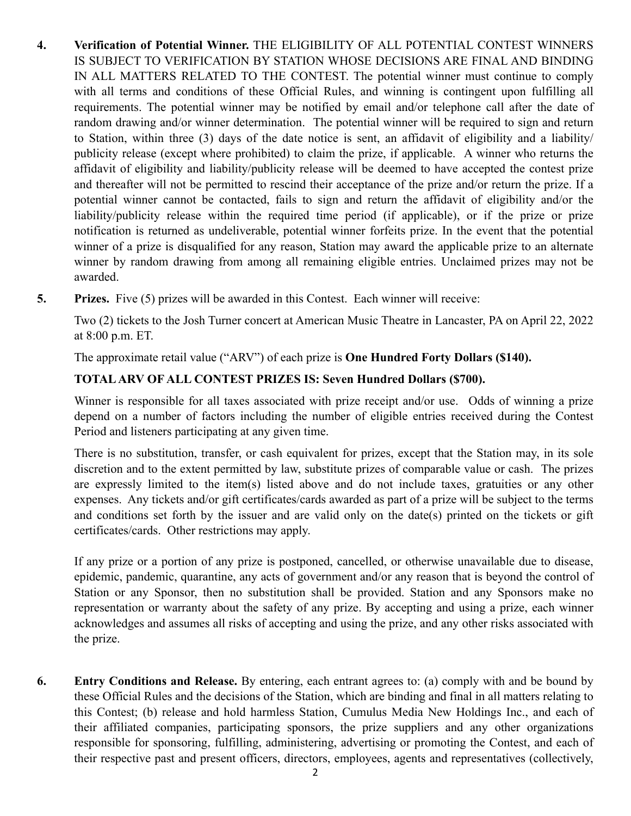- **4. Verification of Potential Winner.** THE ELIGIBILITY OF ALL POTENTIAL CONTEST WINNERS IS SUBJECT TO VERIFICATION BY STATION WHOSE DECISIONS ARE FINAL AND BINDING IN ALL MATTERS RELATED TO THE CONTEST. The potential winner must continue to comply with all terms and conditions of these Official Rules, and winning is contingent upon fulfilling all requirements. The potential winner may be notified by email and/or telephone call after the date of random drawing and/or winner determination. The potential winner will be required to sign and return to Station, within three (3) days of the date notice is sent, an affidavit of eligibility and a liability/ publicity release (except where prohibited) to claim the prize, if applicable. A winner who returns the affidavit of eligibility and liability/publicity release will be deemed to have accepted the contest prize and thereafter will not be permitted to rescind their acceptance of the prize and/or return the prize. If a potential winner cannot be contacted, fails to sign and return the affidavit of eligibility and/or the liability/publicity release within the required time period (if applicable), or if the prize or prize notification is returned as undeliverable, potential winner forfeits prize. In the event that the potential winner of a prize is disqualified for any reason, Station may award the applicable prize to an alternate winner by random drawing from among all remaining eligible entries. Unclaimed prizes may not be awarded.
- **5. Prizes.** Five (5) prizes will be awarded in this Contest. Each winner will receive:

Two (2) tickets to the Josh Turner concert at American Music Theatre in Lancaster, PA on April 22, 2022 at 8:00 p.m. ET.

The approximate retail value ("ARV") of each prize is **One Hundred Forty Dollars (\$140).**

## **TOTAL ARV OF ALL CONTEST PRIZES IS: Seven Hundred Dollars (\$700).**

Winner is responsible for all taxes associated with prize receipt and/or use. Odds of winning a prize depend on a number of factors including the number of eligible entries received during the Contest Period and listeners participating at any given time.

There is no substitution, transfer, or cash equivalent for prizes, except that the Station may, in its sole discretion and to the extent permitted by law, substitute prizes of comparable value or cash. The prizes are expressly limited to the item(s) listed above and do not include taxes, gratuities or any other expenses. Any tickets and/or gift certificates/cards awarded as part of a prize will be subject to the terms and conditions set forth by the issuer and are valid only on the date(s) printed on the tickets or gift certificates/cards. Other restrictions may apply.

If any prize or a portion of any prize is postponed, cancelled, or otherwise unavailable due to disease, epidemic, pandemic, quarantine, any acts of government and/or any reason that is beyond the control of Station or any Sponsor, then no substitution shall be provided. Station and any Sponsors make no representation or warranty about the safety of any prize. By accepting and using a prize, each winner acknowledges and assumes all risks of accepting and using the prize, and any other risks associated with the prize.

**6. Entry Conditions and Release.** By entering, each entrant agrees to: (a) comply with and be bound by these Official Rules and the decisions of the Station, which are binding and final in all matters relating to this Contest; (b) release and hold harmless Station, Cumulus Media New Holdings Inc., and each of their affiliated companies, participating sponsors, the prize suppliers and any other organizations responsible for sponsoring, fulfilling, administering, advertising or promoting the Contest, and each of their respective past and present officers, directors, employees, agents and representatives (collectively,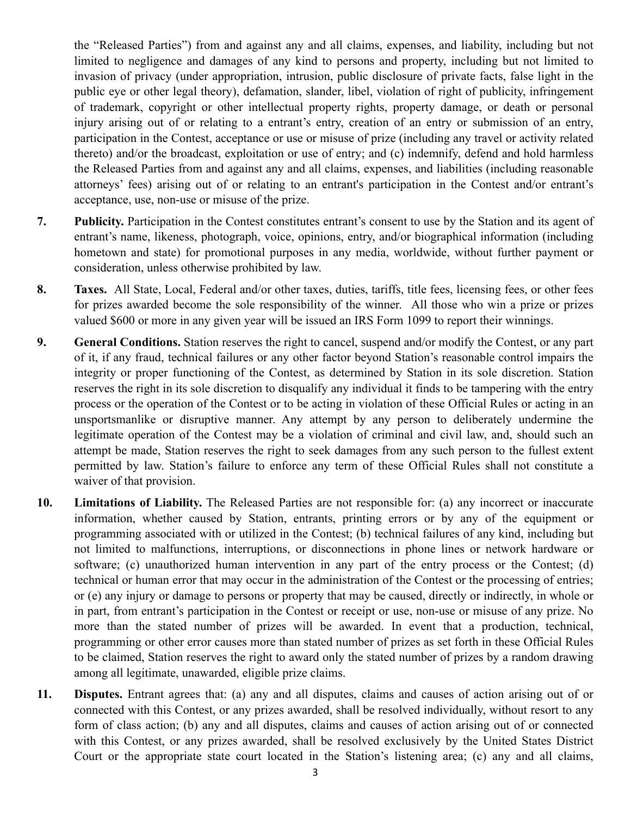the "Released Parties") from and against any and all claims, expenses, and liability, including but not limited to negligence and damages of any kind to persons and property, including but not limited to invasion of privacy (under appropriation, intrusion, public disclosure of private facts, false light in the public eye or other legal theory), defamation, slander, libel, violation of right of publicity, infringement of trademark, copyright or other intellectual property rights, property damage, or death or personal injury arising out of or relating to a entrant's entry, creation of an entry or submission of an entry, participation in the Contest, acceptance or use or misuse of prize (including any travel or activity related thereto) and/or the broadcast, exploitation or use of entry; and (c) indemnify, defend and hold harmless the Released Parties from and against any and all claims, expenses, and liabilities (including reasonable attorneys' fees) arising out of or relating to an entrant's participation in the Contest and/or entrant's acceptance, use, non-use or misuse of the prize.

- **7. Publicity.** Participation in the Contest constitutes entrant's consent to use by the Station and its agent of entrant's name, likeness, photograph, voice, opinions, entry, and/or biographical information (including hometown and state) for promotional purposes in any media, worldwide, without further payment or consideration, unless otherwise prohibited by law.
- **8. Taxes.** All State, Local, Federal and/or other taxes, duties, tariffs, title fees, licensing fees, or other fees for prizes awarded become the sole responsibility of the winner. All those who win a prize or prizes valued \$600 or more in any given year will be issued an IRS Form 1099 to report their winnings.
- **9. General Conditions.** Station reserves the right to cancel, suspend and/or modify the Contest, or any part of it, if any fraud, technical failures or any other factor beyond Station's reasonable control impairs the integrity or proper functioning of the Contest, as determined by Station in its sole discretion. Station reserves the right in its sole discretion to disqualify any individual it finds to be tampering with the entry process or the operation of the Contest or to be acting in violation of these Official Rules or acting in an unsportsmanlike or disruptive manner. Any attempt by any person to deliberately undermine the legitimate operation of the Contest may be a violation of criminal and civil law, and, should such an attempt be made, Station reserves the right to seek damages from any such person to the fullest extent permitted by law. Station's failure to enforce any term of these Official Rules shall not constitute a waiver of that provision.
- **10. Limitations of Liability.** The Released Parties are not responsible for: (a) any incorrect or inaccurate information, whether caused by Station, entrants, printing errors or by any of the equipment or programming associated with or utilized in the Contest; (b) technical failures of any kind, including but not limited to malfunctions, interruptions, or disconnections in phone lines or network hardware or software; (c) unauthorized human intervention in any part of the entry process or the Contest; (d) technical or human error that may occur in the administration of the Contest or the processing of entries; or (e) any injury or damage to persons or property that may be caused, directly or indirectly, in whole or in part, from entrant's participation in the Contest or receipt or use, non-use or misuse of any prize. No more than the stated number of prizes will be awarded. In event that a production, technical, programming or other error causes more than stated number of prizes as set forth in these Official Rules to be claimed, Station reserves the right to award only the stated number of prizes by a random drawing among all legitimate, unawarded, eligible prize claims.
- **11. Disputes.** Entrant agrees that: (a) any and all disputes, claims and causes of action arising out of or connected with this Contest, or any prizes awarded, shall be resolved individually, without resort to any form of class action; (b) any and all disputes, claims and causes of action arising out of or connected with this Contest, or any prizes awarded, shall be resolved exclusively by the United States District Court or the appropriate state court located in the Station's listening area; (c) any and all claims,